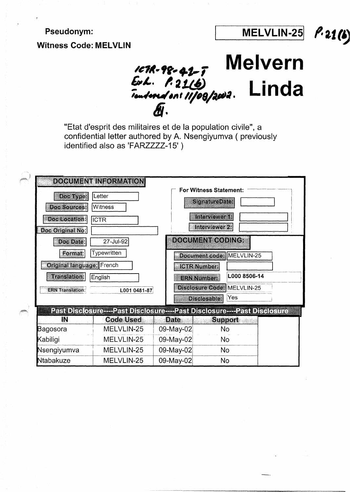Pseudonym:

Witness **Code: MELVLIN** 

MELVLIN-251 **f.** *2.1* (~ **Melvern** 

-------------- - ----------------



"Etat d'esprit des militaires et de Ia population civile", a confidential letter authored by A. Nsengiyumva ( previously identified also as 'FARZZZZ-15')

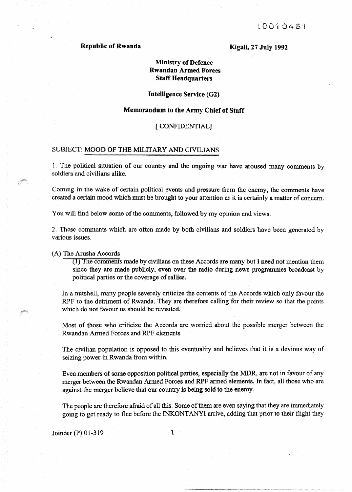# Republic of Rwanda

Kigali, 27 July 1992

# Ministry of Defence Rwandan Armed Forces Staff Headquarters

# Intelligence Service (G2)

#### Memorandum to the Army Chief of Staff

#### [CONFIDENTIAL}

# SUBJECT: MOOD OF THE MILITARY AND CIVILIANS

1. The political situation of our country and the ongoing war have aroused many comments by soldiers and civilians alike.

Coming in the wake of certain political events and pressure from the enemy, the comments have created a certain mood which must be brought to your attention as it is certainly a matter of concern.

You will find below some of the comments, followed by my opinion and views.

2. These comments which are often made by both civilians and soldiers have been generated by various issues.

#### {A) The Arusha Accords

(1) The comments made by civilians on these Accords are many but I need not mention them since they are made publicly, even over the radio during news programmes broadcast by political parties or the coverage of rallies.

In a nutshell, many people severely criticize the contents of the Accords which only favour the RPF to the detriment of Rwanda. They are therefore calling for their review so that the points which do not favour us should be revisited.

Most of those who criticize the Accords are worried about the possible merger between the Rwandan Armed Forces and RPF elements

The civilian population is opposed to this eventuality and believes that it is a devious way of seizing power in Rwanda from within.

Even members of some opposition political parties, especially the MDR., are not in favour of any merger between the Rwandan Armed Forces and RPF armed elements. In fact, all those who are against the merger believe that our country is being sold to the enemy.

The people are therefore afraid of all this. Some of them are even saying that they are immediately going to get ready to flee before the INKONTANYI arrive, adding that prior to their flight they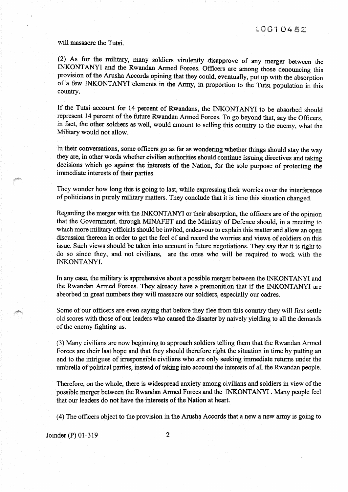### will massacre the Tutsi.

(2) As for the military, many soldiers virulently disapprove of any merger between the INKONTANYI and the Rwandan Armed Forces. Officers are among those denouncing this provision of the Arusha Accords opining that they could, eventually, put up with the absorption of a few INKONTANYI elements in the Army, in proportion to the Tutsi population in this country.

If the Tutsi account for 14 percent of Rwandans, the INKONTANYI to be absorbed should represent 14 percent of the future Rwandan Armed Forces. To go beyond that, say the Officers, in fact, the other soldiers as well, would amount to selling this country to the enemy, what the Military would not allow.

In their conversations, some officers go as far as wondering whether things should stay the way they are, in other words whether civilian authorities should continue issuing directives and taking decisions which go against the interests of the Nation, for the sole pwpose of protecting the immediate interests of their parties.

They wonder how long this is going to last, while expressing their worries over the interference of politicians in purely military matters. They conclude that it is time this situation changed.

Regarding the merger with the INKONTANYI or their absorption, the officers are of the opinion that the Government, through MINAFET and the Ministry of Defence should, in a meeting to which more military officials should be invited, endeavour to explain this matter and allow an open discussion thereon in order to get the feel of and record the worries and views of soldiers on this issue. Such views should be taken into account in future negotiations. They say that it is right to do so since they, and not civilians, are the ones who will be required to work with the INKONTANYI.

In any case, the military is apprehensive about a possible merger between the INKONTANYI and the Rwandan Armed Forces. They already have a premonition that if the INKONTANYI are absorbed in great numbers they will massacre our soldiers, especially our cadres.

Some of our officers are even saying that before they flee from this country they will first settle old scores with those of our leaders who caused the disaster by naively yielding to all the demands of the enemy fighting us.

(3) Many civilians are now beginning to approach soldiers telling them that the Rwandan Armed Forces are their last hope and that they should therefore right the situation in time by putting an end to the intrigues of irresponsible civilians who are only seeking immediate returns under the umbrella of political parties, instead of taking into account the interests of all the Rwandan people.

Therefore, on the whole, there is widespread anxiety among civilians and soldiers in view of the possible merger between the Rwandan Armed Forces and the INKONT ANYI . Many people feel that our leaders do not have the interests of the Nation at heart.

(4) The officers object to the provision in the Arusha Accords that a new a new army is going to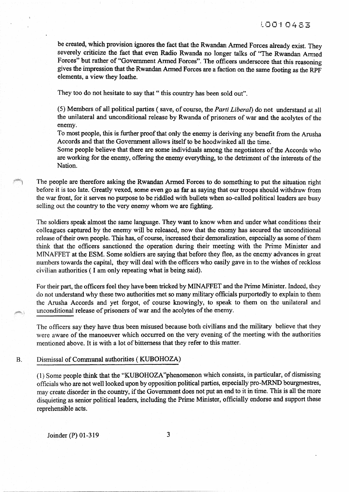be created, which provision ignores the fact that the Rwandan Armed Forces already exist. They severely criticize the fact that even Radio Rwanda no longer talks of "The Rwandan Armed Forces" but rather of "Government Armed Forces". The officers underscore that this reasoning gives the impression that the Rwandan Armed Forces are a faction on the same footing as the RPF elements, a view they loathe.

They too do not hesitate to say that " this country has been sold out".

(5) Members of all political parties (save, of course, the *Parti Liberal)* do not understand at all the unilateral and unconditional release by Rwanda of prisoners of war and the acolytes of the enemy.

To most people, this is further proof that only the enemy is deriving any benefit from the Arusha Accords and that the Government allows itself to be hoodwinked all the time.

Some people believe that there are some individuals among 1he negotiators of the Accords who are working for the enemy, offering the enemy everything, to the detriment of the interests of the Nation.

The people are therefore asking the Rwandan Armed Forces to do something to put the situation right before it is too late. Greatly vexed, some even go as far as saying that our troops should withdraw from the war front, for it serves no purpose to be riddled with bullets when so-called political leaders are busy selling out the country to the very enemy whom we are fighting.

The soldiers speak almost the same language. They want to know when and under what conditions their colleagues captured by the enemy will be released, now that the enemy has secured the unconditional release of their own people. This has, of course, increased their demoralization, especially as some of them think that the officers sanctioned the operation during their meeting with the Prime Minister and MINAFFET at the ESM. Some soldiers are saying that before they flee, as the enemy advances in great numbers towards the capital, they will deal with the officers who easily gave in to the wishes of reckless civilian authorities (I am only repeating what is being said).

For their part, the officers feel they have been tricked by MINAFFET and the Prime Minister. Indeed, they do not understand why these two authorities met so many military officials purportedly to explain to them the Arusha Accords and yet forgot, of course knowingly, to speak to them on the unilateral and unconditional release of prisoners of war and the acolytes of the enenny.

The officers say they have thus been misused because both civilians and the military believe that they were aware of the manoeuver which occurred on the very evening of the meeting with the authorities mentioned above. It is with a lot of bitterness that they refer to this matter.

### B. Dismissal of Communal authorities (KUBOHOZA)

(1) Some people think that the "KUBOHOZA"phenomenon which consists, in particular, of dismissing officials who are not well looked upon by opposition political parties, especially pro-MRND bourgmestres, may create disorder in the country, if the Government does not put an end to it in time. This is all the more disquieting as senior political leaders, including the Prime Minister, officially endorse and support these reprehensible acts.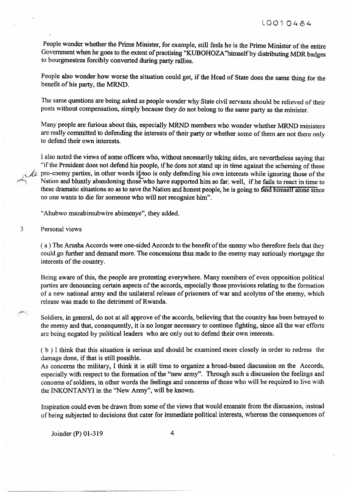People wonder whether the Prime Minister, for example, still feels be is the Prime Minister of the entire Government when he goes to the extent of practising "KUBOHOZA" himself by distributing MDR badges to bourgmestres forcibly converted during party rallies.

People also wonder how worse the situation could get, if the Head of State does the same thing for the benefit of his party, the MRND.

The same questions are being asked as people wonder why State civil servants should be relieved of their posts without compensation, simply because they do not belong to the same party as the minister.

Many people are furious about this, especially MRND members who wonder whether MRND ministers are really committed to defending the interests of their party or whether some of them are not there only to defend their own interests.

I also noted the views of some officers who, without necessarily taking sides, are nevertheless saying that "if the President does not defend his people, if he does not stand up in time against the scheming of these  $\Diamond$  pro-enemy parties, in other words if too is only defending his own interests while ignoring those of the Nation and bluntly abandoning those who have supported him so far; well, if he fails to react in time to these dramatic situations so as to save the Nation and honest people, he is going to find himself alone since no one wants to die for someone who will not recognize him".

"Ahubwo mazabimubwire abimenye", they added.

3 Personal views

(a) The Arusha Accords were one-sided Accords to the benefit of the enemy who therefore feels that they could go further and demand more. The concessions thus made to the enemy may seriously mortgage the interests of the country.

Being aware of this, the people are protesting everywhere. Many members of even opposition political parties are denouncing certain aspects of the accords, especially those provisions relating to the formation of a new national army and the unilateral release of prisoners of war and acolytes of the enemy, which release was made to the detriment of Rwanda.

Soldiers, in general, do not at all approve of the accords, believing that the country has been betrayed to the enemy and that, consequently, it is no longer necessary to continue fighting, since all the war efforts are being negated by political leaders who are only out to defend their own interests.

( b ) I think that this situation is serious and should be examined more closely in order to redress the damage done, if that is still possible.

As concerns the military, I think it is still time to organize a broad-based discussion on the Accords, especially with respect to the formation of the "new army". Through such a discussion the feelings and concerns of soldiers, in other words the feelings and concerns of those who will be required to live with the INKONTANYI in the "New Army", will be known.

Inspiration could even be drawn from some of the views that would emanate from the discussion, instead of being subjected to decisions that cater for immediate political interests, whereas the consequences of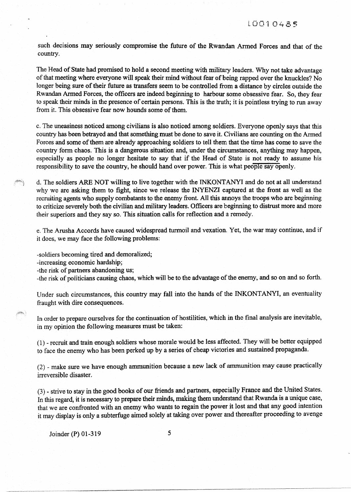such decisions may seriously compromise the future of the Rwandan Armed Forces and that of the country.

The Head of State had promised to hold a second meeting with military leaders. Why not take advantage of that meeting where everyone will speak their mind without fear of being rapped over the knuckles? No longer being sure of their future as transfers seem to be controlled from a distance by circles outside the Rwandan Armed Forces, the officers are indeed beginning to harbour some obsessive fear. So, they fear to speak their minds in the presence of certain persons. This is the truth; it is pointless trying to run away from it. This obsessive fear now hounds some of them.

c. The uneasiness noticed among civilians is also noticed among soldiers. Everyone openly says that this country has been betrayed and that something must be done to save it. Civilians are counting on the Armed Forces and some of them are already approaching soldiers to tell them that the time has come to save the country form chaos. This is a dangerous situation and, under the circumstances, anything may happen, especially as people no longer hesitate to say that if the Head of State is not ready to assume his responsibility to save the country, he should hand over power. This is what people say openly.

d. The soldiers ARE NOT willing to live together with the INKONTANYI and do not at all understand why we are asking them to fight, since we release the INYENZI captured at the front as well as the recruiting agents who supply combatants to the enemy front. All this annoys the troops who are beginning to criticize severely both the civilian and military leaders. Officers are beginning to distrust more and more their superiors and they say so. This situation calls for reflection and a remedy.

e. The Arusha Accords have caused widespread turmoil and vexation .. Yet, the war may continue, and if it does, we may face the following problems:

-soldiers becoming tired and demoralized;

-increasing economic hardship;

-the risk of partners abandoning us;

-the risk of politicians causing chaos, which will be to the advantage of the enemy, and so on and so forth.

Under such circumstances, this country may fall into the hands of the INKONTANYI, an eventuality fraught with dire consequences.

In order to prepare ourselves for the continuation of hostilities, which in the final analysis are inevitable, in my opinion the following measures must be taken:

( 1) - recruit and train enough soldiers whose morale would be less affected. They will be better equipped to face the enemy who has been perked up by a series of cheap victories and sustained propaganda.

 $(2)$  - make sure we have enough ammunition because a new lack of ammunition may cause practically irreversible disaster.

(3)- strive to stay in the good books of our friends and partners, especially France and the United States. In this regard, it is necessary to prepare their minds, making them understand that Rwanda is a unique case, that we are confronted with an enemy who wants to regain the power it lost and that any good intention it may display is only a subterfuge aimed solely at taking over power and thereafter proceeding to avenge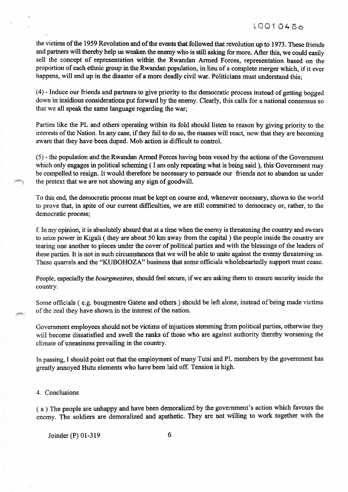the victims of the 1959 Revolution and of the events that followed that revolution up to 1973. These friends and partners will thereby help us weaken the enemy who is still asking for more. After this, we could easily sell the concept of representation within the Rwandan Armed Forces, representation based on the proportion of each ethnic group in the Rwandan population, in lieu of a complete merger which, if it ever happens, will end up in the disaster of a more deadly civil war. Politicians must understand this:

 $(4)$  - Induce our friends and partners to give priority to the democratic process instead of getting bogged down in insidious considerations put forward by the enemy. Clearly, this calls for a national consensus so that we all speak the same language regarding the war;

Parties like the PL and others operating within its fold should listen to reason by giving priority to the interests of the Nation. In any case, if they fail to do so, the masses will react, now that they are becoming aware that they have been duped. Mob action is difficult to control.

{5)- the population and the Rwandan Anned Forces having been vexed by the actions of the Government which only engages in political scheming ( I am only repeating what is being said ), this Government may be compelled to resign. It would therefore be necessary to persuade our friends not to abandon us under the pretext that we are not showing any sign of goodwill.

To this end, the democratic process must be kept on course and, whenever necessary, shown to the world to prove that, in spite of our current difficulties, we are still committed to democracy or, rather, to the democratic process;

f. In my opinion, it is absolutely absurd that at a time when the enemy is threatening the country and swears to seize power in Kigali ( they are about 50 km away from the capital ) the people inside the country are tearing one another to pieces under the cover of political parties and with the blessings of the leaders of these parties. It is not in such circumstances that we will be able to unite against the enemy threatening us. These quarrels and the "KUBOHOZA" business that some officials wholeheartedly support must cease.

People, especially the *bourgmestres,* should feel secure, if we are asking them to ensure security inside the country.

Some officials (e.g. bougmestre Gatete and others) should be left alone, instead of being made victims of the zeal they have shown in the interest of the nation.

Government employees should not be victims of injustices stemming from political parties, otherwise they will become dissatisfied and swell the ranks of those who are against authority thereby worsening the climate of uneasiness prevailing in the country.

In passing, I should point out that the employment of many Tutsi and PL members by the government has greatly annoyed Hutu elements who have been laid off. Tension is high.

#### 4. Conclusions

(a) The people are unhappy and have been demoralized by the government's action which favours the enemy. The soldiers are demoralized and apathetic. They are not willing to work together with the